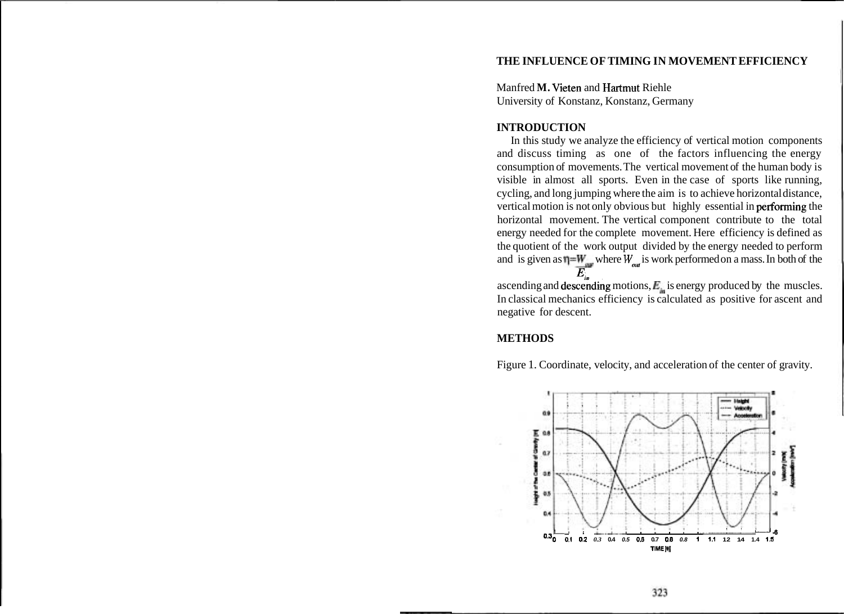## **THE INFLUENCE OF TIMING IN MOVEMENT EFFICIENCY**

Manfred **M.** Vieten and Hartmut Riehle University of Konstanz, Konstanz, Germany

# **INTRODUCTION**

In this study we analyze the efficiency of vertical motion components and discuss timing as one of the factors influencing the energy consumption of movements. The vertical movement of the human body is visible in almost all sports. Even in the case of sports like running, cycling, and long jumping where the aim is to achieve horizontal distance, vertical motion is not only obvious but highly essential in performing the horizontal movement. The vertical component contribute to the total energy needed for the complete movement. Here efficiency is defined as the quotient of the work output divided by the energy needed to perform and is given as  $\eta = W_{\text{max}}$  where  $W_{\text{max}}$  is work performed on a mass. In both of the  $E_{j_n}$ 

ascending and **descending** motions, *E<sub>n</sub>* is energy produced by the muscles. In classical mechanics efficiency is calculated as positive for ascent and negative for descent.

## **METHODS**

Figure 1. Coordinate, velocity, and acceleration of the center of gravity.

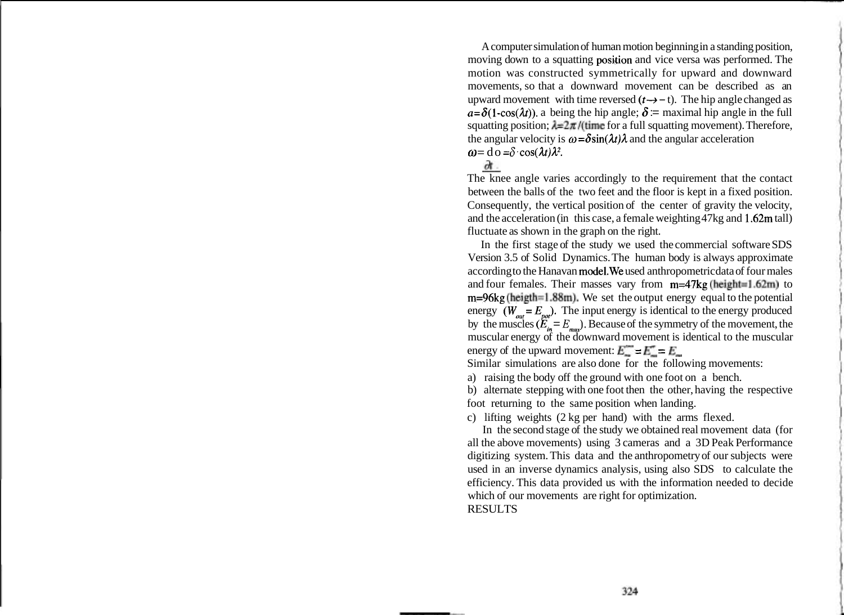A computer simulation of human motion beginning in a standing position, moving down to a squatting position and vice versa was performed. The motion was constructed symmetrically for upward and downward movements, so that a downward movement can be described as an upward movement with time reversed  $(t \rightarrow -t)$ . The hip angle changed as  $a=\delta(1-\cos(\lambda t))$ . a being the hip angle;  $\delta$  := maximal hip angle in the full squatting position;  $\lambda = 2\pi$ /(time for a full squatting movement). Therefore, the angular velocity is  $\omega = \delta \sin(\lambda t) \lambda$  and the angular acceleration  $\omega = d\omega = \delta \cos(\lambda t) \lambda^2.$ 

The knee angle varies accordingly to the requirement that the contact between the balls of the two feet and the floor is kept in a fixed position. Consequently, the vertical position of the center of gravity the velocity, and the acceleration (in this case, a female weighting 47kg and 1.62m tall) fluctuate as shown in the graph on the right.

In the first stage of the study we used the commercial software SDS Version 3.5 of Solid Dynamics. The human body is always approximate according to the Hanavan model.We used anthropometric data of four males and four females. Their masses vary from  $m=47kg$  (height=1.62m) to m=96kg (heigth=1.88m). We set the output energy equal to the potential energy  $(W_{\text{out}} = E_{\text{not}})$ . The input energy is identical to the energy produced by the muscles  $(E_{in} = E_{max})$ . Because of the symmetry of the movement, the muscular energy of the downward movement is identical to the muscular energy of the upward movement:  $\vec{E} = \vec{E} = \vec{E}$ 

Similar simulations are also done for the following movements:

a) raising the body off the ground with one foot on a bench.

b) alternate stepping with one foot then the other, having the respective foot returning to the same position when landing.

c) lifting weights (2 kg per hand) with the arms flexed.

In the second stage of the study we obtained real movement data (for all the above movements) using 3 cameras and a 3D Peak Performance digitizing system. This data and the anthropometry of our subjects were used in an inverse dynamics analysis, using also SDS to calculate the efficiency. This data provided us with the information needed to decide which of our movements are right for optimization. RESULTS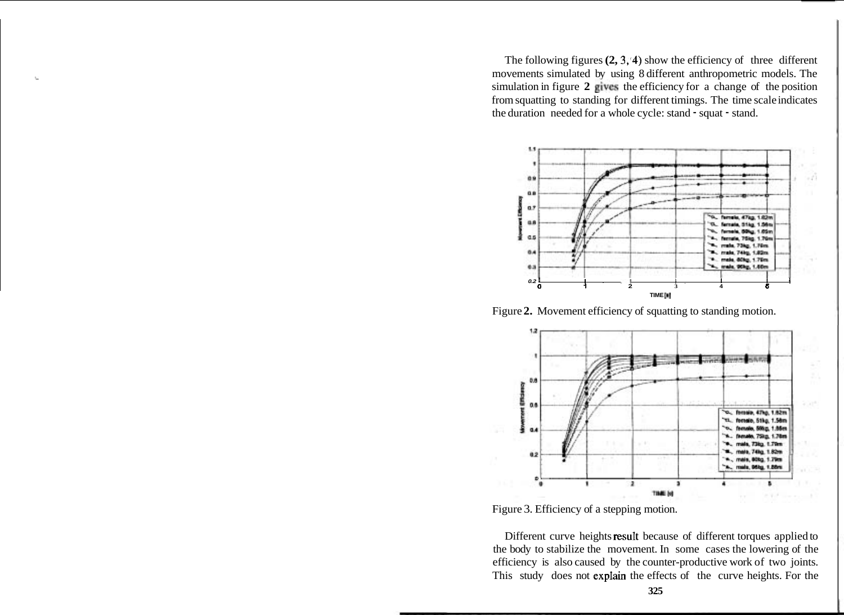The following figures **(2, 3,4)** show the efficiency of three different movements simulated by using 8 different anthropometric models. The simulation in figure **2** gives the efficiency for a change of the position from squatting to standing for different timings. The time scale indicates the duration needed for a whole cycle: stand - squat - stand.



Figure **2.** Movement efficiency of squatting to standing motion.



Figure 3. Efficiency of a stepping motion.

Different curve heights result because of different torques applied to the body to stabilize the movement. In some cases the lowering of the efficiency is also caused by the counter-productive work of two joints. This study does not expIain the effects of the curve heights. For the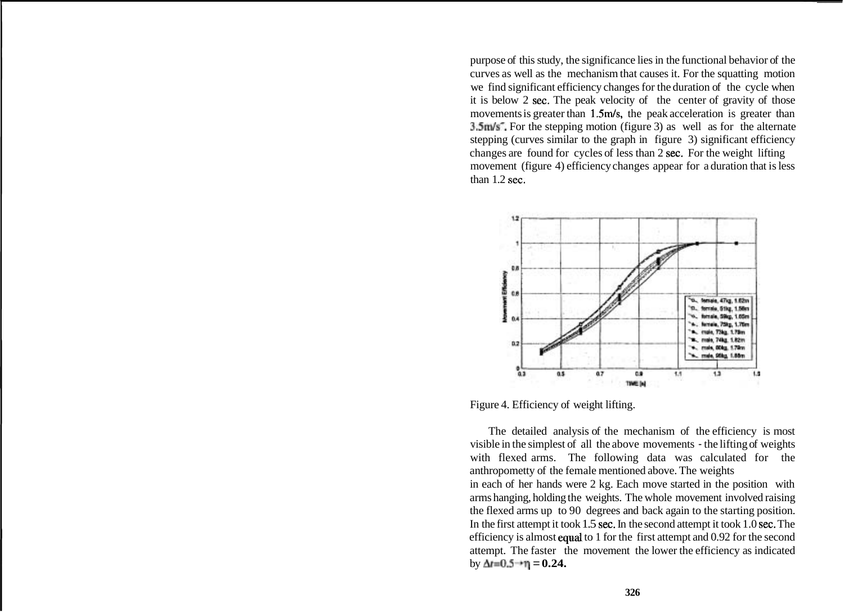purpose of this study, the significance lies in the functional behavior of the curves as well as the mechanism that causes it. For the squatting motion we find significant efficiency changes for the duration of the cycle when it is below 2 sec. The peak velocity of the center of gravity of those movements is greater than 1.5m/s, the peak acceleration is greater than 3.5m/s<sup>-</sup>. For the stepping motion (figure 3) as well as for the alternate stepping (curves similar to the graph in figure 3) significant efficiency changes are found for cycles of less than 2 sec. For the weight lifting movement (figure 4) efficiency changes appear for a duration that is less than 1.2 sec.



Figure 4. Efficiency of weight lifting.

The detailed analysis of the mechanism of the efficiency is most visible in the simplest of all the above movements - the lifting of weights with flexed arms. The following data was calculated for the anthropometty of the female mentioned above. The weights in each of her hands were 2 kg. Each move started in the position with arms hanging, holding the weights. The whole movement involved raising the flexed arms up to 90 degrees and back again to the starting position. In the first attempt it took 1.5 sec. In the second attempt it took 1.0 sec. The efficiency is almost equal to 1 for the first attempt and 0.92 for the second attempt. The faster the movement the lower the efficiency as indicated  $by \Delta t = 0.5 + \eta = 0.24$ .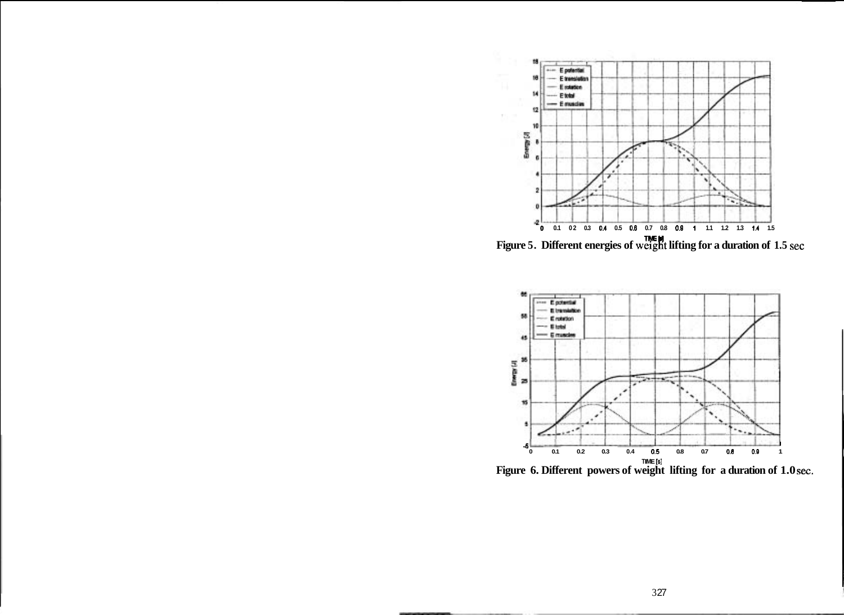

**TME S] Figure 5. Different energies of weigh lifting for a duration of 1.5 sec** 



**TIME** [61 **Figure 6. Different powers of weight lifting for a duration of 1.0 sec.**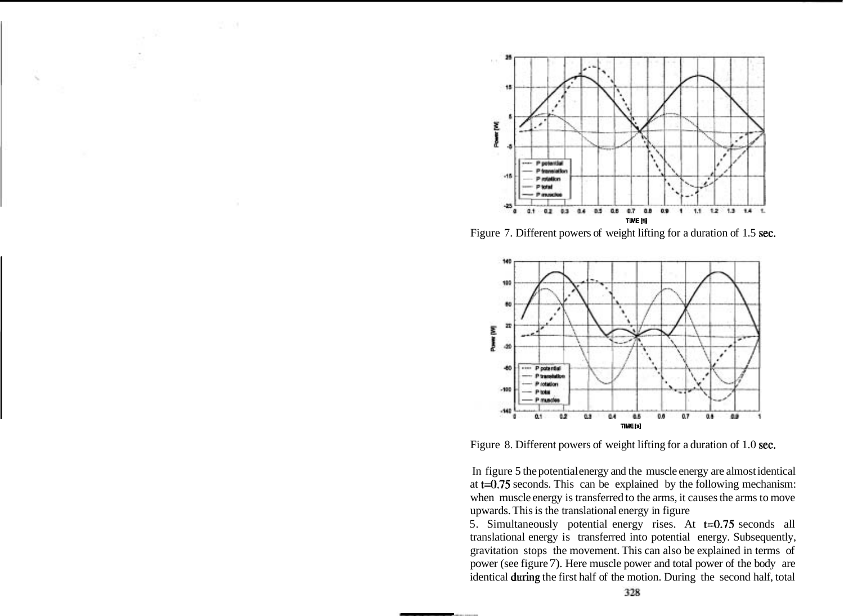

Figure 7. Different powers of weight lifting for a duration of 1.5 sec.



Figure 8. Different powers of weight lifting for a duration of 1.0 sec.

In figure 5 the potential energy and the muscle energy are almost identical at t=0.75 seconds. This can be explained by the following mechanism: when muscle energy is transferred to the arms, it causes the arms to move upwards. This is the translational energy in figure

5. Simultaneously potential energy rises. At t=0.75 seconds all translational energy is transferred into potential energy. Subsequently, gravitation stops the movement. This can also be explained in terms of power (see figure 7). Here muscle power and total power of the body are identical during the first half of the motion. During the second half, total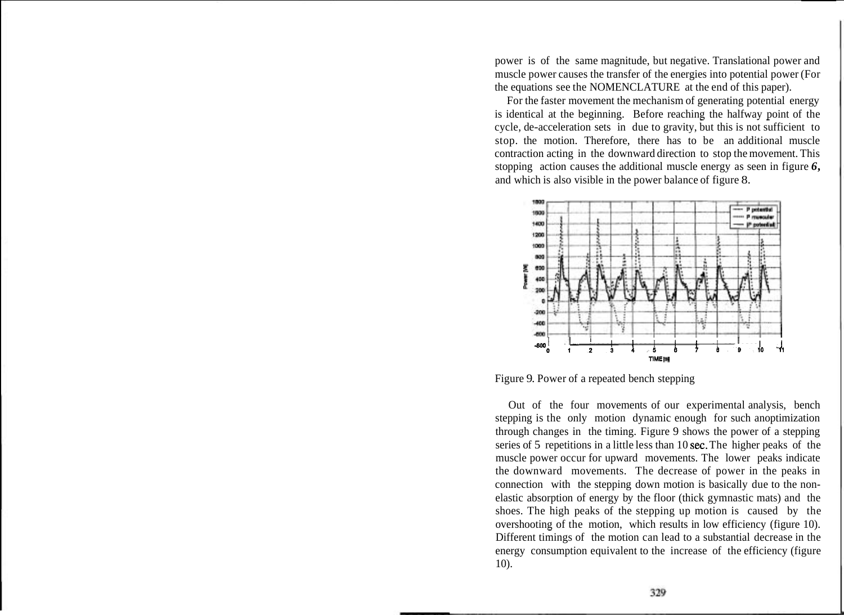power is of the same magnitude, but negative. Translational power and muscle power causes the transfer of the energies into potential power (For the equations see the NOMENCLATURE at the end of this paper).

For the faster movement the mechanism of generating potential energy is identical at the beginning. Before reaching the halfway point of the cycle, de-acceleration sets in due to gravity, but this is not sufficient to stop. the motion. Therefore, there has to be an additional muscle contraction acting in the downward direction to stop the movement. This stopping action causes the additional muscle energy as seen in figure *6,*  and which is also visible in the power balance of figure 8.



Figure 9. Power of a repeated bench stepping

Out of the four movements of our experimental analysis, bench stepping is the only motion dynamic enough for such anoptimization through changes in the timing. Figure 9 shows the power of a stepping series of 5 repetitions in a little less than 10 sec. The higher peaks of the muscle power occur for upward movements. The lower peaks indicate the downward movements. The decrease of power in the peaks in connection with the stepping down motion is basically due to the nonelastic absorption of energy by the floor (thick gymnastic mats) and the shoes. The high peaks of the stepping up motion is caused by the overshooting of the motion, which results in low efficiency (figure 10). Different timings of the motion can lead to a substantial decrease in the energy consumption equivalent to the increase of the efficiency (figure 10).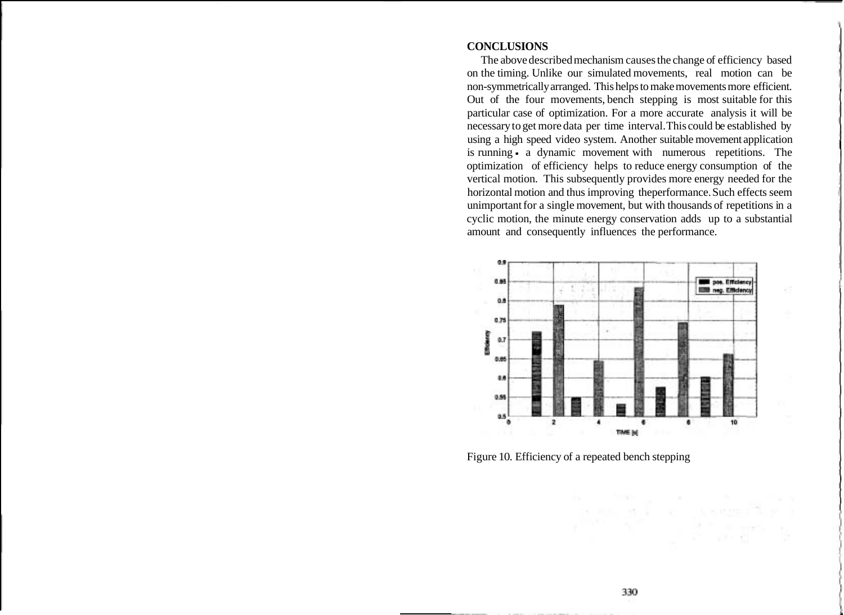#### **CONCLUSIONS**

The above described mechanism causes the change of efficiency based on the timing. Unlike our simulated movements, real motion can be non-symmetrically arranged. This helps to make movements more efficient. Out of the four movements, bench stepping is most suitable for this particular case of optimization. For a more accurate analysis it will be necessary to get more data per time interval. This could be established by using a high speed video system. Another suitable movement application is running - a dynamic movement with numerous repetitions. The optimization of efficiency helps to reduce energy consumption of the vertical motion. This subsequently provides more energy needed for the horizontal motion and thus improving theperformance. Such effects seem unimportant for a single movement, but with thousands of repetitions in a cyclic motion, the minute energy conservation adds up to a substantial amount and consequently influences the performance.



Figure 10. Efficiency of a repeated bench stepping